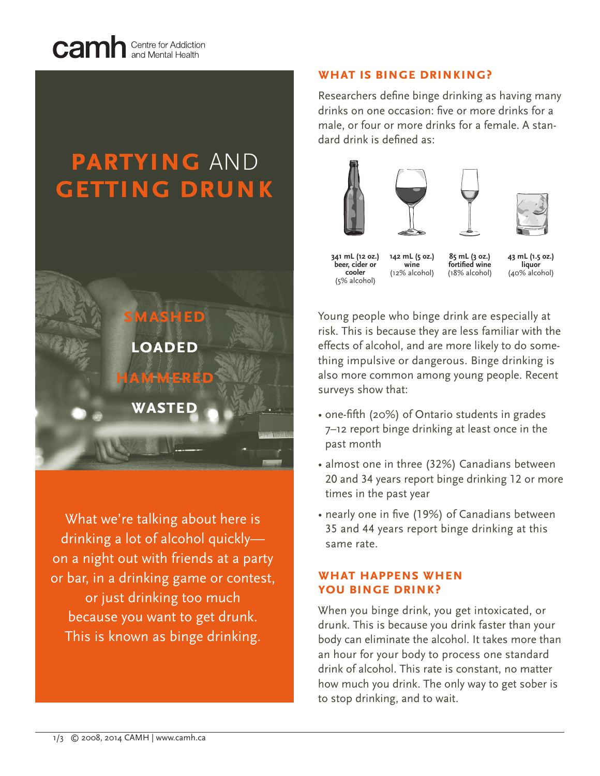

# **partying** AND **getting drunk**



What we're talking about here is drinking a lot of alcohol quickly on a night out with friends at a party or bar, in a drinking game or contest, or just drinking too much because you want to get drunk. This is known as binge drinking.

## **what is binge drinking?**

Researchers define binge drinking as having many drinks on one occasion: five or more drinks for a male, or four or more drinks for a female. A standard drink is defined as:





**341 mL (12 oz.) beer, cider or cooler** (5% alcohol)

**142 mL (5 oz.) wine** (12% alcohol) **85 mL (3 oz.) fortified wine** (18% alcohol)

**43 mL (1.5 oz.) liquor** (40% alcohol)

Young people who binge drink are especially at risk. This is because they are less familiar with the effects of alcohol, and are more likely to do something impulsive or dangerous. Binge drinking is also more common among young people. Recent surveys show that:

- one-fifth (20%) of Ontario students in grades 7–12 report binge drinking at least once in the past month
- almost one in three (32%) Canadians between 20 and 34 years report binge drinking 12 or more times in the past year
- nearly one in five (19%) of Canadians between 35 and 44 years report binge drinking at this same rate.

# **what happens when you binge drink?**

When you binge drink, you get intoxicated, or drunk. This is because you drink faster than your body can eliminate the alcohol. It takes more than an hour for your body to process one standard drink of alcohol. This rate is constant, no matter how much you drink. The only way to get sober is to stop drinking, and to wait.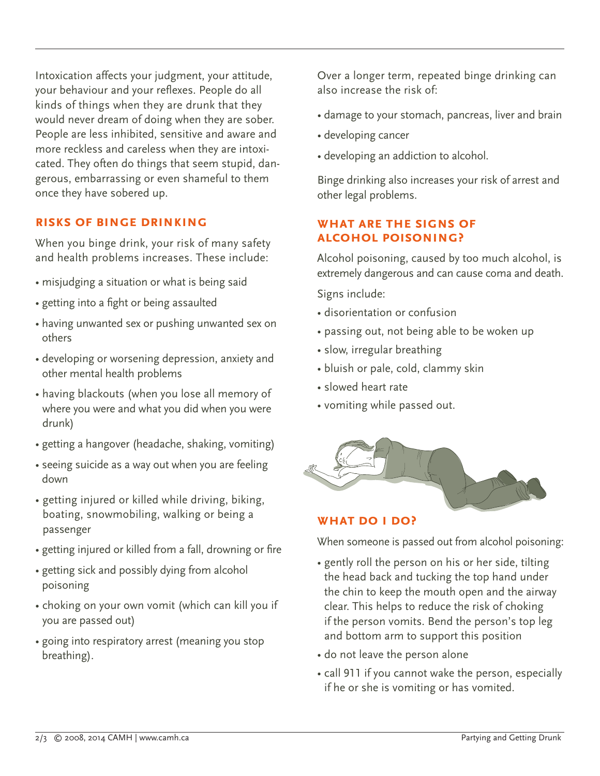Intoxication affects your judgment, your attitude, your behaviour and your reflexes. People do all kinds of things when they are drunk that they would never dream of doing when they are sober. People are less inhibited, sensitive and aware and more reckless and careless when they are intoxicated. They often do things that seem stupid, dangerous, embarrassing or even shameful to them once they have sobered up.

## **risks of binge drinking**

When you binge drink, your risk of many safety and health problems increases. These include:

- misjudging a situation or what is being said
- getting into a fight or being assaulted
- having unwanted sex or pushing unwanted sex on others
- developing or worsening depression, anxiety and other mental health problems
- having blackouts (when you lose all memory of where you were and what you did when you were drunk)
- getting a hangover (headache, shaking, vomiting)
- seeing suicide as a way out when you are feeling down
- getting injured or killed while driving, biking, boating, snowmobiling, walking or being a passenger
- getting injured or killed from a fall, drowning or fire
- getting sick and possibly dying from alcohol poisoning
- choking on your own vomit (which can kill you if you are passed out)
- going into respiratory arrest (meaning you stop breathing).

Over a longer term, repeated binge drinking can also increase the risk of:

- damage to your stomach, pancreas, liver and brain
- developing cancer
- developing an addiction to alcohol.

Binge drinking also increases your risk of arrest and other legal problems.

## **what are the signs of alcohol poisoning?**

Alcohol poisoning, caused by too much alcohol, is extremely dangerous and can cause coma and death.

Signs include:

- disorientation or confusion
- passing out, not being able to be woken up
- slow, irregular breathing
- bluish or pale, cold, clammy skin
- slowed heart rate
- vomiting while passed out.



#### **what do i do?**

When someone is passed out from alcohol poisoning:

- gently roll the person on his or her side, tilting the head back and tucking the top hand under the chin to keep the mouth open and the airway clear. This helps to reduce the risk of choking if the person vomits. Bend the person's top leg and bottom arm to support this position
- do not leave the person alone
- call 911 if you cannot wake the person, especially if he or she is vomiting or has vomited.